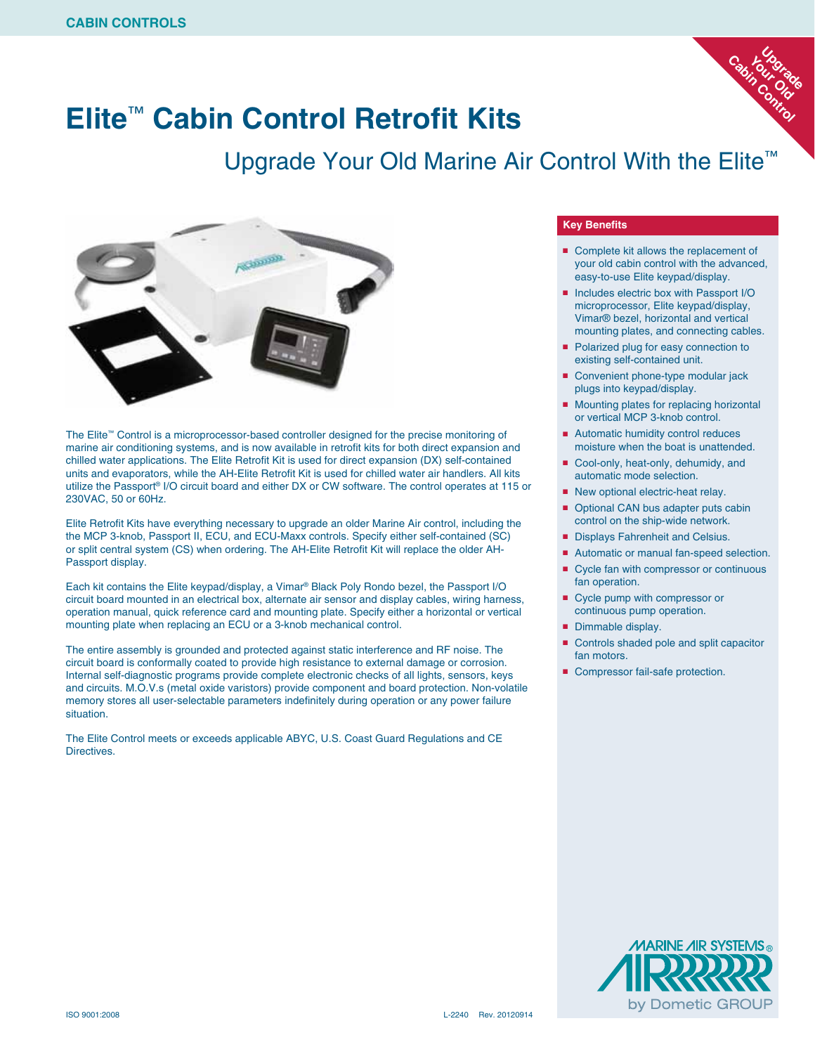### **Elite**™ **Cabin Control Retrofit Kits**

#### Upgrade Your Old Marine Air Control With the Elite<sup>™</sup>



The Elite™ Control is a microprocessor-based controller designed for the precise monitoring of marine air conditioning systems, and is now available in retrofit kits for both direct expansion and chilled water applications. The Elite Retrofit Kit is used for direct expansion (DX) self-contained units and evaporators, while the AH-Elite Retrofit Kit is used for chilled water air handlers. All kits utilize the Passport® I/O circuit board and either DX or CW software. The control operates at 115 or 230VAC, 50 or 60Hz.

Elite Retrofit Kits have everything necessary to upgrade an older Marine Air control, including the the MCP 3-knob, Passport II, ECU, and ECU-Maxx controls. Specify either self-contained (SC) or split central system (CS) when ordering. The AH-Elite Retrofit Kit will replace the older AH-Passport display.

Each kit contains the Elite keypad/display, a Vimar® Black Poly Rondo bezel, the Passport I/O circuit board mounted in an electrical box, alternate air sensor and display cables, wiring harness, operation manual, quick reference card and mounting plate. Specify either a horizontal or vertical mounting plate when replacing an ECU or a 3-knob mechanical control.

The entire assembly is grounded and protected against static interference and RF noise. The circuit board is conformally coated to provide high resistance to external damage or corrosion. Internal self-diagnostic programs provide complete electronic checks of all lights, sensors, keys and circuits. M.O.V.s (metal oxide varistors) provide component and board protection. Non-volatile memory stores all user-selectable parameters indefinitely during operation or any power failure situation.

The Elite Control meets or exceeds applicable ABYC, U.S. Coast Guard Regulations and CE **Directives** 

#### **Key Benefits**

■ Complete kit allows the replacement of your old cabin control with the advanced, easy-to-use Elite keypad/display.

Up<br>U<sub>p</sub>grade<br>C\_OL\_@

Cabin Control **Yourad** 

- Includes electric box with Passport I/O microprocessor, Elite keypad/display, Vimar® bezel, horizontal and vertical mounting plates, and connecting cables.
- Polarized plug for easy connection to existing self-contained unit.
- Convenient phone-type modular jack plugs into keypad/display.
- Mounting plates for replacing horizontal or vertical MCP 3-knob control.
- Automatic humidity control reduces moisture when the boat is unattended.
- Cool-only, heat-only, dehumidy, and automatic mode selection.
- New optional electric-heat relay.
- Optional CAN bus adapter puts cabin control on the ship-wide network.
- Displays Fahrenheit and Celsius.
- Automatic or manual fan-speed selection.
- Cycle fan with compressor or continuous fan operation.
- Cycle pump with compressor or continuous pump operation.
- Dimmable display.
- Controls shaded pole and split capacitor fan motors.
- Compressor fail-safe protection.